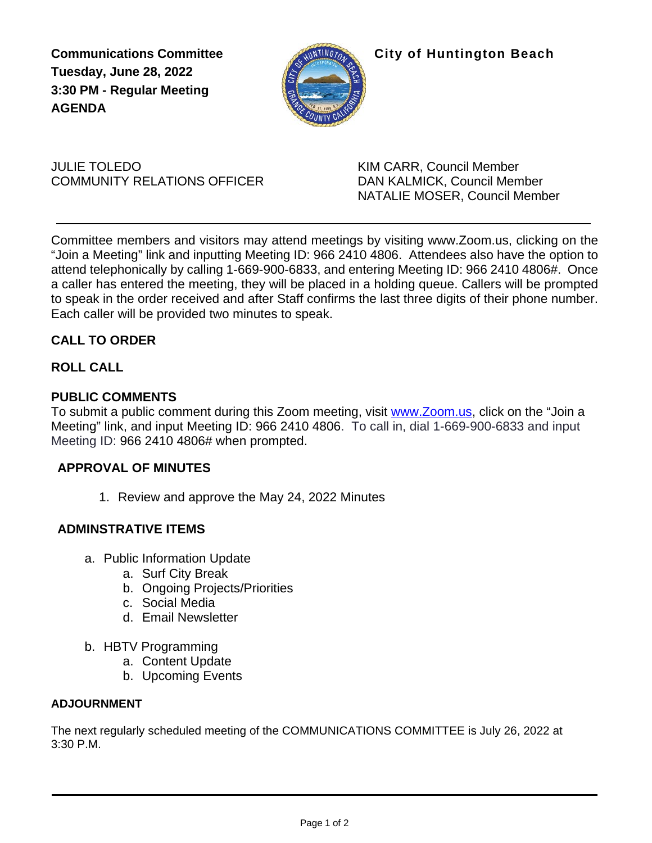**Tuesday, June 28, 2022 3:30 PM - Regular Meeting AGENDA**



**Communications Committee City of Huntington Beach** 

JULIE TOLEDO KIM CARR, Council Member COMMUNITY RELATIONS OFFICER DAN KALMICK, Council Member

NATALIE MOSER, Council Member

Committee members and visitors may attend meetings by visiting [www.Zoom.us,](http://www.zoom.us/) clicking on the "Join a Meeting" link and inputting Meeting ID: 966 2410 4806. Attendees also have the option to attend telephonically by calling 1-669-900-6833, and entering Meeting ID: 966 2410 4806#. Once a caller has entered the meeting, they will be placed in a holding queue. Callers will be prompted to speak in the order received and after Staff confirms the last three digits of their phone number. Each caller will be provided two minutes to speak.

### **CALL TO ORDER**

### **ROLL CALL**

### **PUBLIC COMMENTS**

To submit a public comment during this Zoom meeting, visit [www.Zoom.us,](http://www.zoom.us/) click on the "Join a Meeting" link, and input Meeting ID: 966 2410 4806. To call in, dial 1-669-900-6833 and input Meeting ID: 966 2410 4806# when prompted.

### **APPROVAL OF MINUTES**

1. Review and approve the May 24, 2022 Minutes

### **ADMINSTRATIVE ITEMS**

- a. Public Information Update
	- a. Surf City Break
	- b. Ongoing Projects/Priorities
	- c. Social Media
	- d. Email Newsletter
- b. HBTV Programming
	- a. Content Update
	- b. Upcoming Events

### **ADJOURNMENT**

The next regularly scheduled meeting of the COMMUNICATIONS COMMITTEE is July 26, 2022 at 3:30 P.M.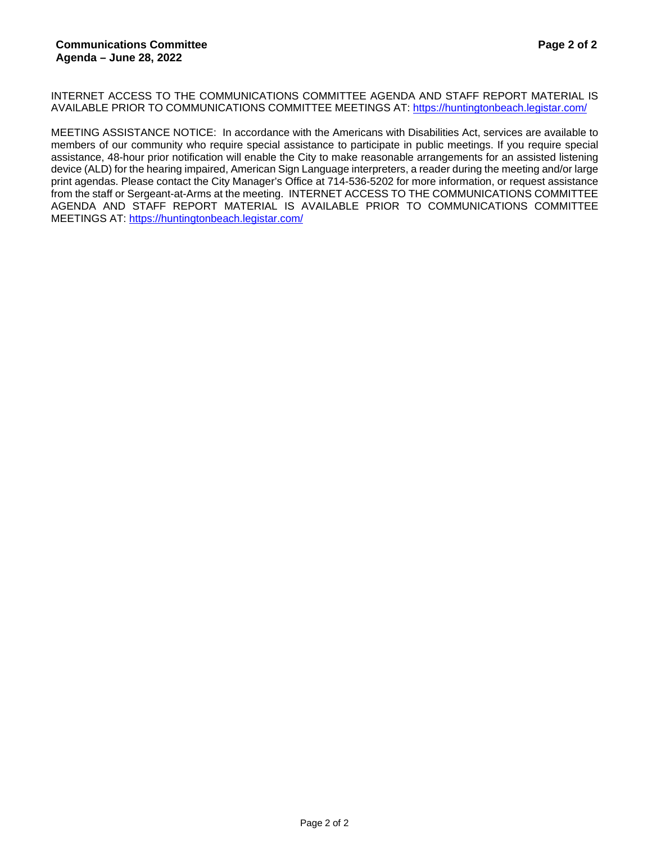INTERNET ACCESS TO THE COMMUNICATIONS COMMITTEE AGENDA AND STAFF REPORT MATERIAL IS AVAILABLE PRIOR TO COMMUNICATIONS COMMITTEE MEETINGS AT:<https://huntingtonbeach.legistar.com/>

MEETING ASSISTANCE NOTICE: In accordance with the Americans with Disabilities Act, services are available to members of our community who require special assistance to participate in public meetings. If you require special assistance, 48-hour prior notification will enable the City to make reasonable arrangements for an assisted listening device (ALD) for the hearing impaired, American Sign Language interpreters, a reader during the meeting and/or large print agendas. Please contact the City Manager's Office at 714-536-5202 for more information, or request assistance from the staff or Sergeant-at-Arms at the meeting. INTERNET ACCESS TO THE COMMUNICATIONS COMMITTEE AGENDA AND STAFF REPORT MATERIAL IS AVAILABLE PRIOR TO COMMUNICATIONS COMMITTEE MEETINGS AT:<https://huntingtonbeach.legistar.com/>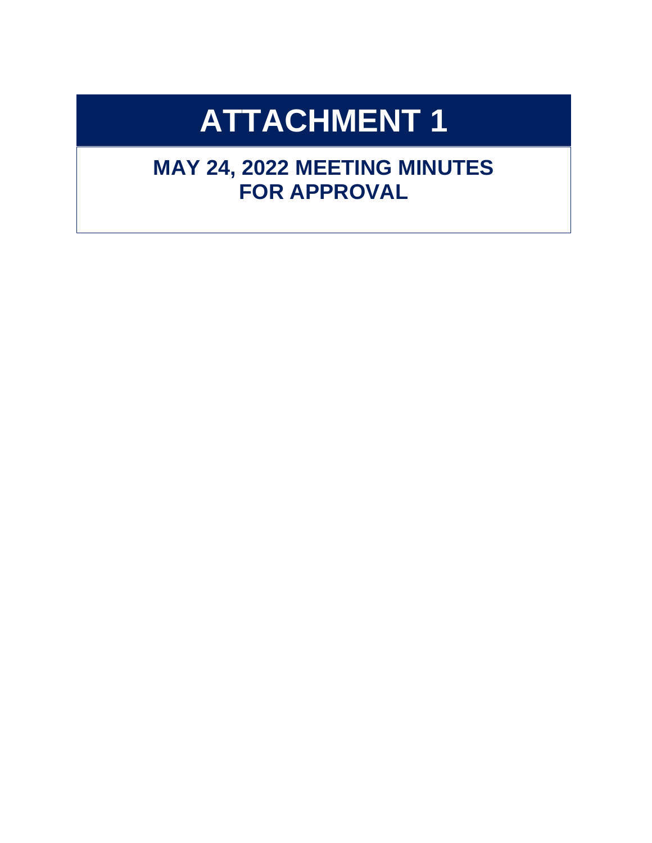# **ATTACHMENT 1**

# **MAY 24, 2022 MEETING MINUTES FOR APPROVAL**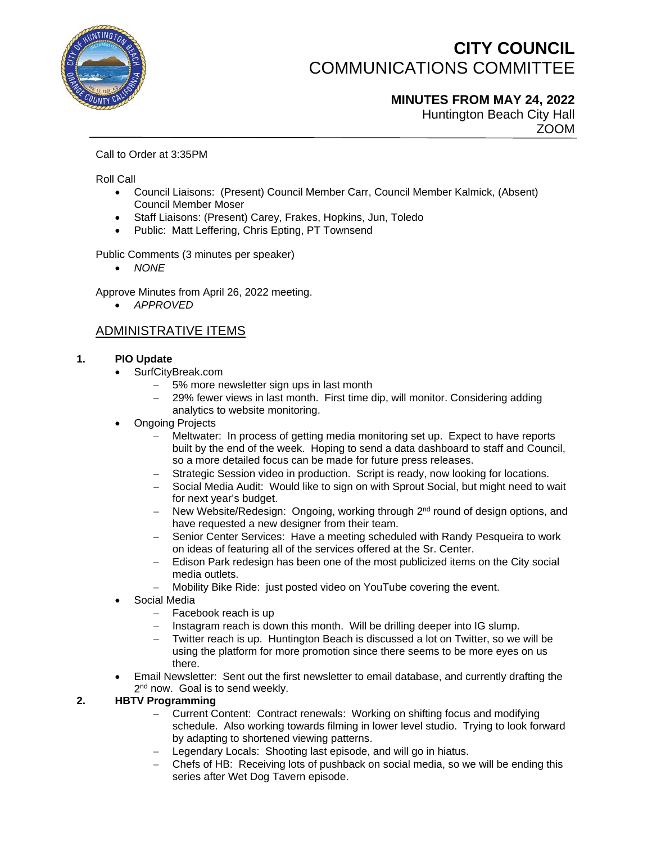

## **CITY COUNCIL** COMMUNICATIONS COMMITTEE

**MINUTES FROM MAY 24, 2022**

Huntington Beach City Hall ZOOM

Call to Order at 3:35PM

Roll Call

- Council Liaisons: (Present) Council Member Carr, Council Member Kalmick, (Absent) Council Member Moser
- Staff Liaisons: (Present) Carey, Frakes, Hopkins, Jun, Toledo
- Public: Matt Leffering, Chris Epting, PT Townsend

Public Comments (3 minutes per speaker)

• *NONE*

Approve Minutes from April 26, 2022 meeting.

• *APPROVED*

### ADMINISTRATIVE ITEMS

### **1. PIO Update**

- SurfCityBreak.com
	- − 5% more newsletter sign ups in last month
	- 29% fewer views in last month. First time dip, will monitor. Considering adding analytics to website monitoring.
- **Ongoing Projects** 
	- Meltwater: In process of getting media monitoring set up. Expect to have reports built by the end of the week. Hoping to send a data dashboard to staff and Council, so a more detailed focus can be made for future press releases.
	- − Strategic Session video in production. Script is ready, now looking for locations.
	- − Social Media Audit: Would like to sign on with Sprout Social, but might need to wait for next year's budget.
	- − New Website/Redesign: Ongoing, working through 2<sup>nd</sup> round of design options, and have requested a new designer from their team.
	- − Senior Center Services: Have a meeting scheduled with Randy Pesqueira to work on ideas of featuring all of the services offered at the Sr. Center.
	- Edison Park redesign has been one of the most publicized items on the City social media outlets.
	- − Mobility Bike Ride: just posted video on YouTube covering the event.
- Social Media
	- − Facebook reach is up
	- Instagram reach is down this month. Will be drilling deeper into IG slump.
	- Twitter reach is up. Huntington Beach is discussed a lot on Twitter, so we will be using the platform for more promotion since there seems to be more eyes on us there.
- Email Newsletter: Sent out the first newsletter to email database, and currently drafting the 2<sup>nd</sup> now. Goal is to send weekly.

### **2. HBTV Programming**

- − Current Content: Contract renewals: Working on shifting focus and modifying schedule. Also working towards filming in lower level studio. Trying to look forward by adapting to shortened viewing patterns.
- − Legendary Locals: Shooting last episode, and will go in hiatus.
- − Chefs of HB: Receiving lots of pushback on social media, so we will be ending this series after Wet Dog Tavern episode.